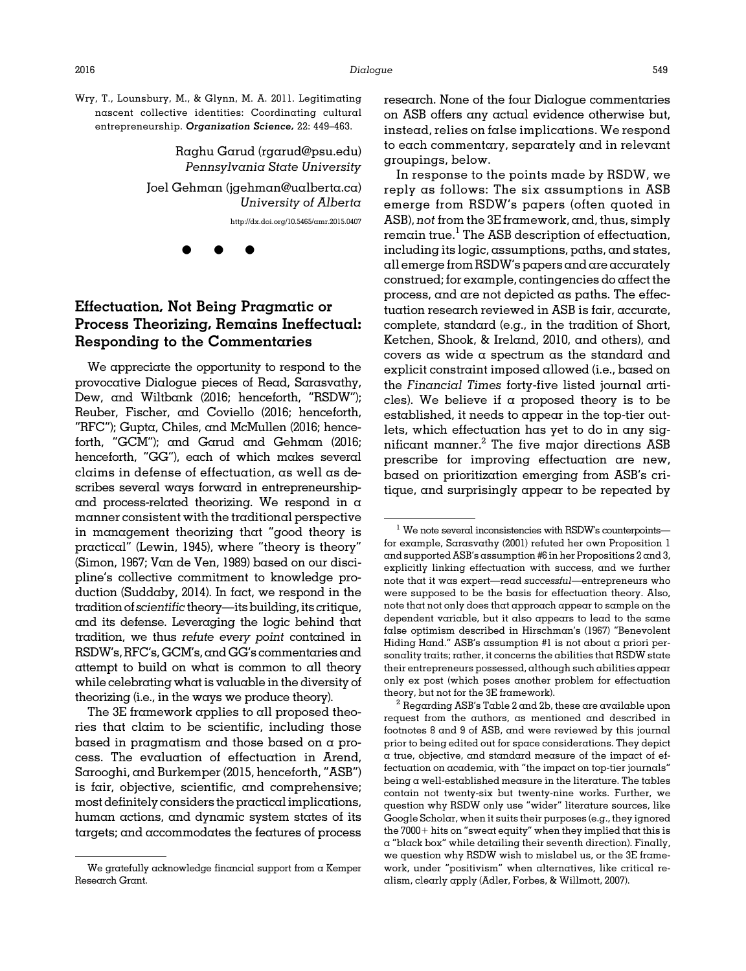Wry, T., Lounsbury, M., & Glynn, M. A. 2011. Legitimating nascent collective identities: Coordinating cultural entrepreneurship. Organization Science, 22: 449–463.

Raghu Garud [\(rgarud@psu.edu](mailto:rgarud@psu.edu)) Pennsylvania State University Joel Gehman ([jgehman@ualberta.ca](mailto:jgehman@ualberta.ca)) University of Alberta <http://dx.doi.org/10.5465/amr.2015.0407>

 $\bullet\quad \bullet\quad \bullet$ 

# Effectuation, Not Being Pragmatic or Process Theorizing, Remains Ineffectual: Responding to the Commentaries

We appreciate the opportunity to respond to the provocative Dialogue pieces of Read, Sarasvathy, Dew, and Wiltbank (2016; henceforth, "RSDW"); Reuber, Fischer, and Coviello (2016; henceforth, "RFC"); Gupta, Chiles, and McMullen (2016; henceforth, "GCM"); and Garud and Gehman (2016; henceforth, "GG"), each of which makes several claims in defense of effectuation, as well as describes several ways forward in entrepreneurshipand process-related theorizing. We respond in a manner consistent with the traditional perspective in management theorizing that "good theory is practical" (Lewin, 1945), where "theory is theory" (Simon, 1967; Van de Ven, 1989) based on our discipline's collective commitment to knowledge production (Suddaby, 2014). In fact, we respond in the tradition of scientific theory—its building, its critique, and its defense. Leveraging the logic behind that tradition, we thus refute every point contained in RSDW's, RFC's, GCM's, and GG's commentaries and attempt to build on what is common to all theory while celebrating what is valuable in the diversity of theorizing (i.e., in the ways we produce theory).

The 3E framework applies to all proposed theories that claim to be scientific, including those based in pragmatism and those based on a process. The evaluation of effectuation in Arend, Sarooghi, and Burkemper (2015, henceforth, "ASB") is fair, objective, scientific, and comprehensive; most definitely considers the practical implications, human actions, and dynamic system states of its targets; and accommodates the features of process

research. None of the four Dialogue commentaries on ASB offers any actual evidence otherwise but, instead, relies on false implications. We respond to each commentary, separately and in relevant groupings, below.

In response to the points made by RSDW, we reply as follows: The six assumptions in ASB emerge from RSDW's papers (often quoted in ASB), not from the 3E framework, and, thus, simply remain true.<sup>1</sup> The ASB description of effectuation, including its logic, assumptions, paths, and states, all emerge from RSDW's papers and are accurately construed; for example, contingencies do affect the process, and are not depicted as paths. The effectuation research reviewed in ASB is fair, accurate, complete, standard (e.g., in the tradition of Short, Ketchen, Shook, & Ireland, 2010, and others), and covers as wide a spectrum as the standard and explicit constraint imposed allowed (i.e., based on the Financial Times forty-five listed journal articles). We believe if  $\alpha$  proposed theory is to be established, it needs to appear in the top-tier outlets, which effectuation has yet to do in any significant manner. $2$  The five major directions ASB prescribe for improving effectuation are new, based on prioritization emerging from ASB's critique, and surprisingly appear to be repeated by

We gratefully acknowledge financial support from  $\alpha$  Kemper Research Grant.

 $1$  We note several inconsistencies with RSDW's counterpoints for example, Sarasvathy (2001) refuted her own Proposition 1 and supported ASB's assumption #6 in her Propositions 2 and 3, explicitly linking effectuation with success, and we further note that it was expert—read successful—entrepreneurs who were supposed to be the basis for effectuation theory. Also, note that not only does that approach appear to sample on the dependent variable, but it also appears to lead to the same false optimism described in Hirschman's (1967) "Benevolent Hiding Hand." ASB's assumption #1 is not about a priori personality traits; rather, it concerns the abilities that RSDW state their entrepreneurs possessed, although such abilities appear only ex post (which poses another problem for effectuation theory, but not for the 3E framework). <sup>2</sup> Regarding ASB's Table 2 and 2b, these are available upon

request from the authors, as mentioned and described in footnotes 8 and 9 of ASB, and were reviewed by this journal prior to being edited out for space considerations. They depict a true, objective, and standard measure of the impact of effectuation on academia, with "the impact on top-tier journals" being a well-established measure in the literature. The tables contain not twenty-six but twenty-nine works. Further, we question why RSDW only use "wider" literature sources, like Google Scholar, when it suits their purposes (e.g., they ignored the  $7000+$  hits on "sweat equity" when they implied that this is a "black box" while detailing their seventh direction). Finally, we question why RSDW wish to mislabel us, or the 3E framework, under "positivism" when alternatives, like critical realism, clearly apply (Adler, Forbes, & Willmott, 2007).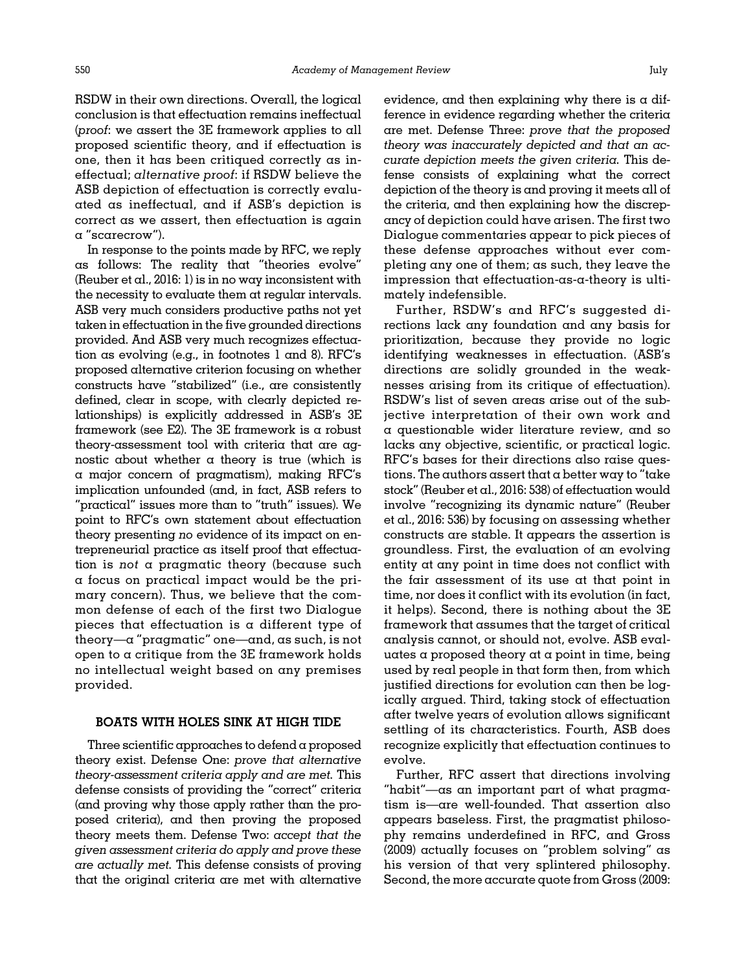RSDW in their own directions. Overall, the logical conclusion is that effectuation remains ineffectual (proof: we assert the 3E framework applies to all proposed scientific theory, and if effectuation is one, then it has been critiqued correctly as ineffectual; alternative proof: if RSDW believe the ASB depiction of effectuation is correctly evaluated as ineffectual, and if ASB's depiction is correct as we assert, then effectuation is again a "scarecrow").

In response to the points made by RFC, we reply as follows: The reality that "theories evolve" (Reuber et al., 2016: 1) is in no way inconsistent with the necessity to evaluate them at regular intervals. ASB very much considers productive paths not yet taken in effectuation in the five grounded directions provided. And ASB very much recognizes effectuation as evolving (e.g., in footnotes 1 and 8). RFC's proposed alternative criterion focusing on whether constructs have "stabilized" (i.e., are consistently defined, clear in scope, with clearly depicted relationships) is explicitly addressed in ASB's 3E framework (see E2). The  $3E$  framework is a robust theory-assessment tool with criteria that are agnostic about whether a theory is true (which is a major concern of pragmatism), making RFC's implication unfounded (and, in fact, ASB refers to "practical" issues more than to "truth" issues). We point to RFC's own statement about effectuation theory presenting no evidence of its impact on entrepreneurial practice as itself proof that effectuation is not a pragmatic theory (because such a focus on practical impact would be the primary concern). Thus, we believe that the common defense of each of the first two Dialogue pieces that effectuation is a different type of theory—a "pragmatic" one—and, as such, is not open to a critique from the 3E framework holds no intellectual weight based on any premises provided.

#### BOATS WITH HOLES SINK AT HIGH TIDE

Three scientific approaches to defend a proposed theory exist. Defense One: prove that alternative theory-assessment criteria apply and are met. This defense consists of providing the "correct" criteria (and proving why those apply rather than the proposed criteria), and then proving the proposed theory meets them. Defense Two: accept that the given assessment criteria do apply and prove these are actually met. This defense consists of proving that the original criteria are met with alternative

evidence, and then explaining why there is a difference in evidence regarding whether the criteria are met. Defense Three: prove that the proposed theory was inaccurately depicted and that an accurate depiction meets the given criteria. This defense consists of explaining what the correct depiction of the theory is and proving it meets all of the criteria, and then explaining how the discrepancy of depiction could have arisen. The first two Dialogue commentaries appear to pick pieces of these defense approaches without ever completing any one of them; as such, they leave the impression that effectuation-as-a-theory is ultimately indefensible.

Further, RSDW's and RFC's suggested directions lack any foundation and any basis for prioritization, because they provide no logic identifying weaknesses in effectuation. (ASB's directions are solidly grounded in the weaknesses arising from its critique of effectuation). RSDW's list of seven areas arise out of the subjective interpretation of their own work and a questionable wider literature review, and so lacks any objective, scientific, or practical logic. RFC's bases for their directions also raise questions. The authors assert that a better way to "take stock" (Reuber et al., 2016: 538) of effectuation would involve "recognizing its dynamic nature" (Reuber et al., 2016: 536) by focusing on assessing whether constructs are stable. It appears the assertion is groundless. First, the evaluation of an evolving entity at any point in time does not conflict with the fair assessment of its use at that point in time, nor does it conflict with its evolution (in fact, it helps). Second, there is nothing about the 3E framework that assumes that the target of critical analysis cannot, or should not, evolve. ASB evaluates a proposed theory at a point in time, being used by real people in that form then, from which justified directions for evolution can then be logically argued. Third, taking stock of effectuation after twelve years of evolution allows significant settling of its characteristics. Fourth, ASB does recognize explicitly that effectuation continues to evolve.

Further, RFC assert that directions involving "habit"—as an important part of what pragmatism is—are well-founded. That assertion also appears baseless. First, the pragmatist philosophy remains underdefined in RFC, and Gross (2009) actually focuses on "problem solving" as his version of that very splintered philosophy. Second, the more accurate quote from Gross (2009: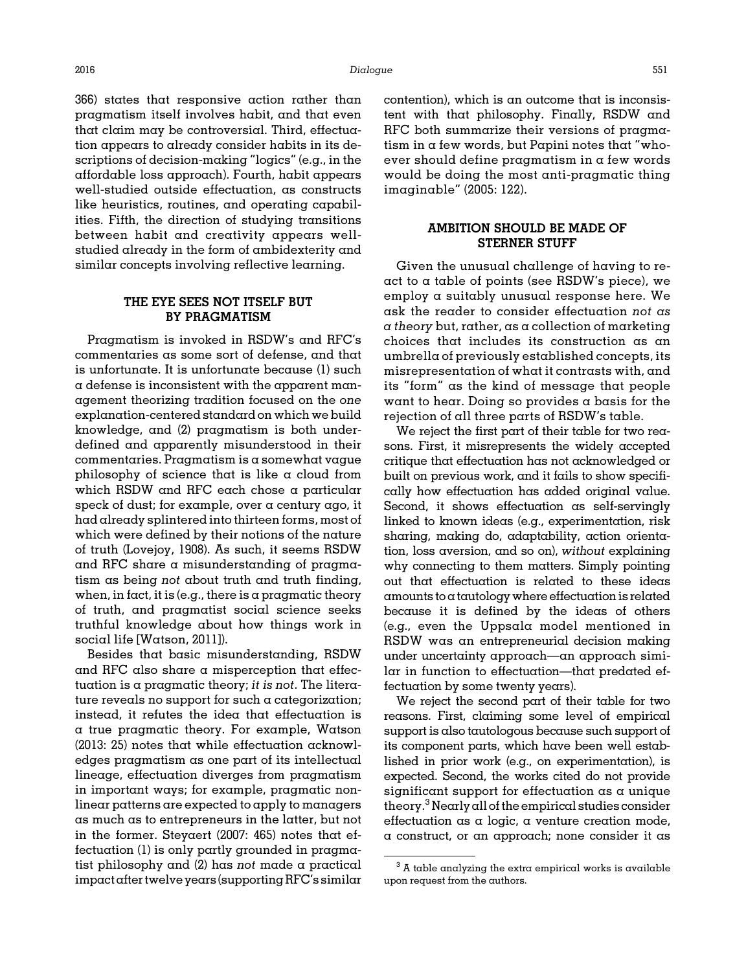366) states that responsive action rather than pragmatism itself involves habit, and that even that claim may be controversial. Third, effectuation appears to already consider habits in its descriptions of decision-making "logics" (e.g., in the affordable loss approach). Fourth, habit appears well-studied outside effectuation, as constructs like heuristics, routines, and operating capabilities. Fifth, the direction of studying transitions between habit and creativity appears wellstudied already in the form of ambidexterity and similar concepts involving reflective learning.

## THE EYE SEES NOT ITSELF BUT BY PRAGMATISM

Pragmatism is invoked in RSDW's and RFC's commentaries as some sort of defense, and that is unfortunate. It is unfortunate because (1) such a defense is inconsistent with the apparent management theorizing tradition focused on the one explanation-centered standard on which we build knowledge, and (2) pragmatism is both underdefined and apparently misunderstood in their commentaries. Pragmatism is a somewhat vague philosophy of science that is like a cloud from which RSDW and RFC each chose a particular speck of dust; for example, over a century ago, it had already splintered into thirteen forms, most of which were defined by their notions of the nature of truth (Lovejoy, 1908). As such, it seems RSDW and RFC share a misunderstanding of pragmatism as being not about truth and truth finding, when, in fact, it is (e.g., there is a pragmatic theory of truth, and pragmatist social science seeks truthful knowledge about how things work in social life [Watson, 2011]).

Besides that basic misunderstanding, RSDW and RFC also share a misperception that effectuation is a pragmatic theory; it is not. The literature reveals no support for such a categorization; instead, it refutes the idea that effectuation is a true pragmatic theory. For example, Watson (2013: 25) notes that while effectuation acknowledges pragmatism as one part of its intellectual lineage, effectuation diverges from pragmatism in important ways; for example, pragmatic nonlinear patterns are expected to apply to managers as much as to entrepreneurs in the latter, but not in the former. Steyaert (2007: 465) notes that effectuation (1) is only partly grounded in pragmatist philosophy and (2) has not made a practical impact after twelve years(supporting RFC's similar contention), which is an outcome that is inconsistent with that philosophy. Finally, RSDW and RFC both summarize their versions of pragmatism in a few words, but Papini notes that "whoever should define pragmatism in a few words would be doing the most anti-pragmatic thing imaginable" (2005: 122).

# AMBITION SHOULD BE MADE OF STERNER STUFF

Given the unusual challenge of having to react to a table of points (see RSDW's piece), we employ a suitably unusual response here. We ask the reader to consider effectuation not as  $\alpha$  theory but, rather, as a collection of marketing choices that includes its construction as an umbrella of previously established concepts, its misrepresentation of what it contrasts with, and its "form" as the kind of message that people want to hear. Doing so provides a basis for the rejection of all three parts of RSDW's table.

We reject the first part of their table for two reasons. First, it misrepresents the widely accepted critique that effectuation has not acknowledged or built on previous work, and it fails to show specifically how effectuation has added original value. Second, it shows effectuation as self-servingly linked to known ideas (e.g., experimentation, risk sharing, making do, adaptability, action orientation, loss aversion, and so on), without explaining why connecting to them matters. Simply pointing out that effectuation is related to these ideas amounts to a tautology where effectuation is related because it is defined by the ideas of others (e.g., even the Uppsala model mentioned in RSDW was an entrepreneurial decision making under uncertainty approach—an approach similar in function to effectuation—that predated effectuation by some twenty years).

We reject the second part of their table for two reasons. First, claiming some level of empirical support is also tautologous because such support of its component parts, which have been well established in prior work (e.g., on experimentation), is expected. Second, the works cited do not provide significant support for effectuation as a unique theory.<sup>3</sup> Nearly all of the empirical studies consider effectuation as a logic, a venture creation mode, a construct, or an approach; none consider it as

 $3$  A table analyzing the extra empirical works is available upon request from the authors.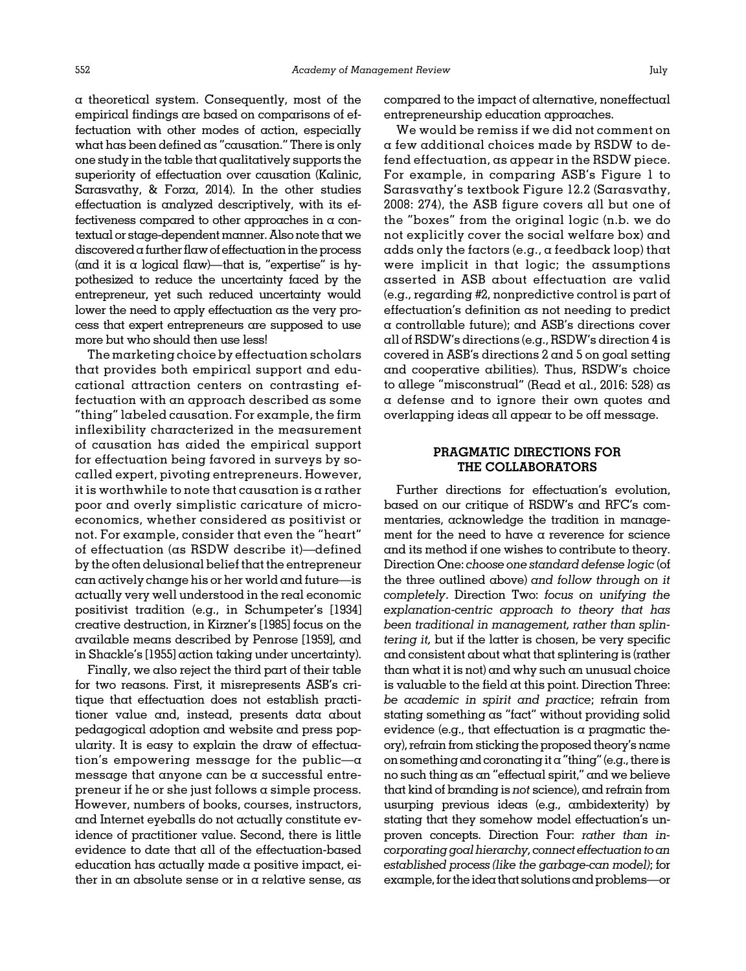a theoretical system. Consequently, most of the empirical findings are based on comparisons of effectuation with other modes of action, especially what has been defined as "causation." There is only one study in the table that qualitatively supports the superiority of effectuation over causation (Kalinic, Sarasvathy, & Forza, 2014). In the other studies effectuation is analyzed descriptively, with its effectiveness compared to other approaches in a contextual or stage-dependent manner. Also note that we discovered a further flaw of effectuation in the process (and it is a logical flaw)—that is, "expertise" is hypothesized to reduce the uncertainty faced by the entrepreneur, yet such reduced uncertainty would lower the need to apply effectuation as the very process that expert entrepreneurs are supposed to use more but who should then use less!

The marketing choice by effectuation scholars that provides both empirical support and educational attraction centers on contrasting effectuation with an approach described as some "thing" labeled causation. For example, the firm inflexibility characterized in the measurement of causation has aided the empirical support for effectuation being favored in surveys by socalled expert, pivoting entrepreneurs. However, it is worthwhile to note that causation is a rather poor and overly simplistic caricature of microeconomics, whether considered as positivist or not. For example, consider that even the "heart" of effectuation (as RSDW describe it)—defined by the often delusional belief that the entrepreneur can actively change his or her world and future—is actually very well understood in the real economic positivist tradition (e.g., in Schumpeter's [1934] creative destruction, in Kirzner's [1985] focus on the available means described by Penrose [1959], and in Shackle's [1955] action taking under uncertainty).

Finally, we also reject the third part of their table for two reasons. First, it misrepresents ASB's critique that effectuation does not establish practitioner value and, instead, presents data about pedagogical adoption and website and press popularity. It is easy to explain the draw of effectuation's empowering message for the public— $\alpha$  $message$  that anyone can be a successful entrepreneur if he or she just follows  $\alpha$  simple process. However, numbers of books, courses, instructors, and Internet eyeballs do not actually constitute evidence of practitioner value. Second, there is little evidence to date that all of the effectuation-based education has actually made a positive impact, either in an absolute sense or in a relative sense, as compared to the impact of alternative, noneffectual entrepreneurship education approaches.

We would be remiss if we did not comment on a few additional choices made by RSDW to defend effectuation, as appear in the RSDW piece. For example, in comparing ASB's Figure 1 to Sarasvathy's textbook Figure 12.2 (Sarasvathy, 2008: 274), the ASB figure covers all but one of the "boxes" from the original logic (n.b. we do not explicitly cover the social welfare box) and adds only the factors (e.g., a feedback loop) that were implicit in that logic; the assumptions asserted in ASB about effectuation are valid (e.g., regarding #2, nonpredictive control is part of effectuation's definition as not needing to predict a controllable future); and ASB's directions cover all of RSDW's directions (e.g., RSDW's direction 4 is covered in ASB's directions 2 and 5 on goal setting and cooperative abilities). Thus, RSDW's choice to allege "misconstrual" (Read et al., 2016: 528) as a defense and to ignore their own quotes and overlapping ideas all appear to be off message.

# PRAGMATIC DIRECTIONS FOR THE COLLABORATORS

Further directions for effectuation's evolution, based on our critique of RSDW's and RFC's commentaries, acknowledge the tradition in management for the need to have a reverence for science and its method if one wishes to contribute to theory. Direction One: choose one standard defense logic (of the three outlined above) and follow through on it completely. Direction Two: focus on unifying the explanation-centric approach to theory that has been traditional in management, rather than splintering it, but if the latter is chosen, be very specific and consistent about what that splintering is (rather than what it is not) and why such an unusual choice is valuable to the field at this point. Direction Three: be academic in spirit and practice; refrain from stating something as "fact" without providing solid evidence (e.g., that effectuation is a pragmatic theory), refrain from sticking the proposed theory's name on something and coronating it a "thing" (e.g., there is no such thing as an "effectual spirit," and we believe that kind of branding is not science), and refrain from usurping previous ideas (e.g., ambidexterity) by stating that they somehow model effectuation's unproven concepts. Direction Four: rather than incorporating goal hierarchy, connect effectuation to an established process (like the garbage-can model); for example, for the idea that solutions and problems—or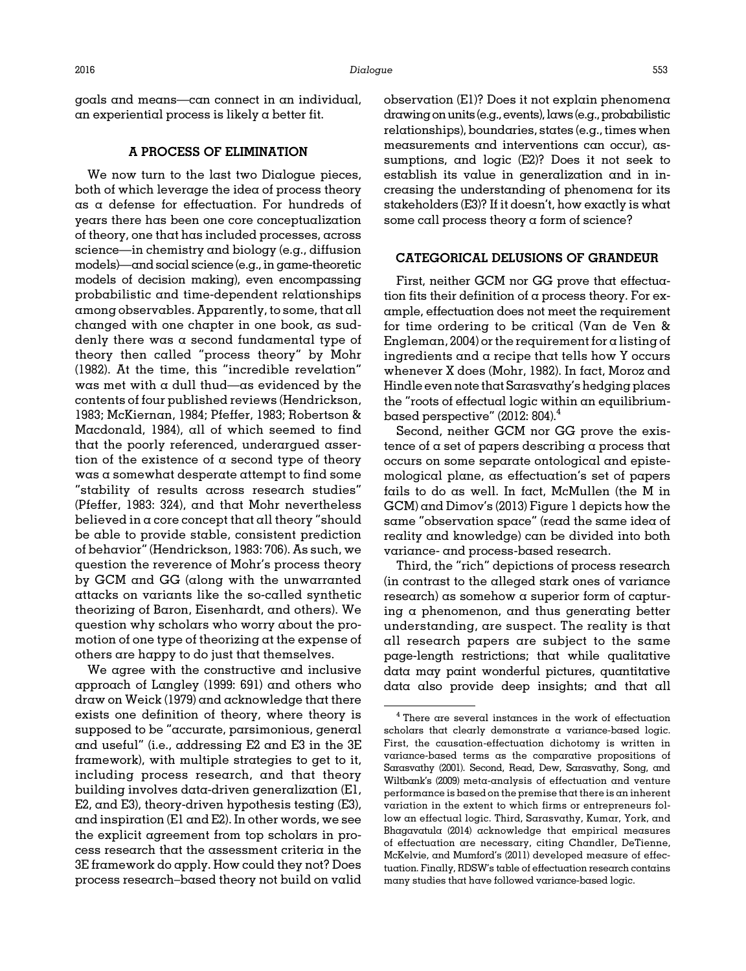goals and means—can connect in an individual, an experiential process is likely a better fit.

# A PROCESS OF ELIMINATION

We now turn to the last two Dialogue pieces, both of which leverage the idea of process theory as a defense for effectuation. For hundreds of years there has been one core conceptualization of theory, one that has included processes, across science—in chemistry and biology (e.g., diffusion models)—and social science (e.g., in game-theoretic models of decision making), even encompassing probabilistic and time-dependent relationships among observables. Apparently, to some, that all changed with one chapter in one book, as suddenly there was a second fundamental type of theory then called "process theory" by Mohr (1982). At the time, this "incredible revelation" was met with a dull thud—as evidenced by the contents of four published reviews (Hendrickson, 1983; McKiernan, 1984; Pfeffer, 1983; Robertson & Macdonald, 1984), all of which seemed to find that the poorly referenced, underargued assertion of the existence of  $\alpha$  second type of theory was a somewhat desperate attempt to find some "stability of results across research studies" (Pfeffer, 1983: 324), and that Mohr nevertheless believed in a core concept that all theory "should be able to provide stable, consistent prediction of behavior" (Hendrickson, 1983: 706). As such, we question the reverence of Mohr's process theory by GCM and GG (along with the unwarranted attacks on variants like the so-called synthetic theorizing of Baron, Eisenhardt, and others). We question why scholars who worry about the promotion of one type of theorizing at the expense of others are happy to do just that themselves.

We agree with the constructive and inclusive approach of Langley (1999: 691) and others who draw on Weick (1979) and acknowledge that there exists one definition of theory, where theory is supposed to be "accurate, parsimonious, general and useful" (i.e., addressing E2 and E3 in the 3E framework), with multiple strategies to get to it, including process research, and that theory building involves data-driven generalization (E1, E2, and E3), theory-driven hypothesis testing (E3), and inspiration (E1 and E2). In other words, we see the explicit agreement from top scholars in process research that the assessment criteria in the 3E framework do apply. How could they not? Does process research–based theory not build on valid

observation (E1)? Does it not explain phenomena drawing on units(e.g., events), laws(e.g., probabilistic relationships), boundaries, states (e.g., times when measurements and interventions can occur), assumptions, and logic (E2)? Does it not seek to establish its value in generalization and in increasing the understanding of phenomena for its stakeholders (E3)? If it doesn't, how exactly is what some call process theory a form of science?

### CATEGORICAL DELUSIONS OF GRANDEUR

First, neither GCM nor GG prove that effectuation fits their definition of  $\alpha$  process theory. For example, effectuation does not meet the requirement for time ordering to be critical (Van de Ven & Engleman, 2004) or the requirement for a listing of ingredients and a recipe that tells how Y occurs whenever X does (Mohr, 1982). In fact, Moroz and Hindle even note that Sarasvathy's hedging places the "roots of effectual logic within an equilibriumbased perspective" (2012: 804).4

Second, neither GCM nor GG prove the existence of  $\alpha$  set of papers describing  $\alpha$  process that occurs on some separate ontological and epistemological plane, as effectuation's set of papers fails to do as well. In fact, McMullen (the M in GCM) and Dimov's (2013) Figure 1 depicts how the same "observation space" (read the same idea of reality and knowledge) can be divided into both variance- and process-based research.

Third, the "rich" depictions of process research (in contrast to the alleged stark ones of variance research) as somehow a superior form of capturing a phenomenon, and thus generating better understanding, are suspect. The reality is that all research papers are subject to the same page-length restrictions; that while qualitative data may paint wonderful pictures, quantitative data also provide deep insights; and that all

<sup>4</sup> There are several instances in the work of effectuation scholars that clearly demonstrate a variance-based logic. First, the causation-effectuation dichotomy is written in variance-based terms as the comparative propositions of Sarasvathy (2001). Second, Read, Dew, Sarasvathy, Song, and Wiltbank's (2009) meta-analysis of effectuation and venture performance is based on the premise that there is an inherent variation in the extent to which firms or entrepreneurs follow an effectual logic. Third, Sarasvathy, Kumar, York, and Bhagavatula (2014) acknowledge that empirical measures of effectuation are necessary, citing Chandler, DeTienne, McKelvie, and Mumford's (2011) developed measure of effectuation. Finally, RDSW's table of effectuation research contains many studies that have followed variance-based logic.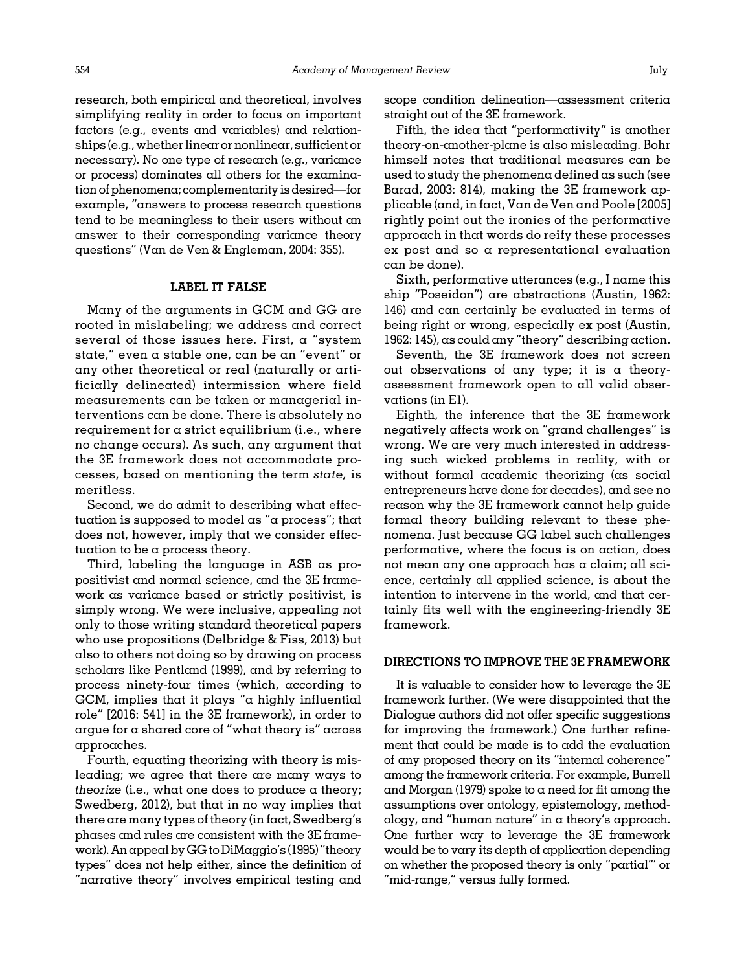research, both empirical and theoretical, involves simplifying reality in order to focus on important factors (e.g., events and variables) and relationships (e.g.,whether linear or nonlinear, sufficient or necessary). No one type of research (e.g., variance or process) dominates all others for the examination of phenomena; complementarity is desired—for example, "answers to process research questions tend to be meaningless to their users without an answer to their corresponding variance theory

#### LABEL IT FALSE

questions" (Van de Ven & Engleman, 2004: 355).

Many of the arguments in GCM and GG are rooted in mislabeling; we address and correct several of those issues here. First, a "system state," even a stable one, can be an "event" or any other theoretical or real (naturally or artificially delineated) intermission where field measurements can be taken or managerial interventions can be done. There is absolutely no requirement for a strict equilibrium (i.e., where no change occurs). As such, any argument that the 3E framework does not accommodate processes, based on mentioning the term state, is meritless.

Second, we do admit to describing what effectuation is supposed to model as "a process"; that does not, however, imply that we consider effectuation to be a process theory.

Third, labeling the language in ASB as propositivist and normal science, and the 3E framework as variance based or strictly positivist, is simply wrong. We were inclusive, appealing not only to those writing standard theoretical papers who use propositions (Delbridge & Fiss, 2013) but also to others not doing so by drawing on process scholars like Pentland (1999), and by referring to process ninety-four times (which, according to GCM, implies that it plays "a highly influential role" [2016: 541] in the 3E framework), in order to argue for a shared core of "what theory is" across approaches.

Fourth, equating theorizing with theory is misleading; we agree that there are many ways to theorize (i.e., what one does to produce  $\alpha$  theory; Swedberg, 2012), but that in no way implies that there are many types of theory (in fact, Swedberg's phases and rules are consistent with the 3E framework). An appeal byGG to DiMaggio's(1995) "theory types" does not help either, since the definition of "narrative theory" involves empirical testing and

scope condition delineation—assessment criteria straight out of the 3E framework.

Fifth, the idea that "performativity" is another theory-on-another-plane is also misleading. Bohr himself notes that traditional measures can be used to study the phenomena defined as such (see Barad, 2003: 814), making the 3E framework applicable (and, in fact, Van de Ven and Poole [2005] rightly point out the ironies of the performative approach in that words do reify these processes ex post and so a representational evaluation can be done).

Sixth, performative utterances (e.g., I name this ship "Poseidon") are abstractions (Austin, 1962: 146) and can certainly be evaluated in terms of being right or wrong, especially ex post (Austin, 1962: 145), as could any "theory" describing action.

Seventh, the 3E framework does not screen out observations of any type; it is a theoryassessment framework open to all valid observations (in E1).

Eighth, the inference that the 3E framework negatively affects work on "grand challenges" is wrong. We are very much interested in addressing such wicked problems in reality, with or without formal academic theorizing (as social entrepreneurs have done for decades), and see no reason why the 3E framework cannot help guide formal theory building relevant to these phenomena. Just because GG label such challenges performative, where the focus is on action, does not mean any one approach has a claim; all science, certainly all applied science, is about the intention to intervene in the world, and that certainly fits well with the engineering-friendly 3E framework.

#### DIRECTIONS TO IMPROVE THE 3E FRAMEWORK

It is valuable to consider how to leverage the 3E framework further. (We were disappointed that the Dialogue authors did not offer specific suggestions for improving the framework.) One further refinement that could be made is to add the evaluation of any proposed theory on its "internal coherence" among the framework criteria. For example, Burrell and Morgan (1979) spoke to a need for fit among the assumptions over ontology, epistemology, methodology, and "human nature" in a theory's approach. One further way to leverage the 3E framework would be to vary its depth of application depending on whether the proposed theory is only "partial"' or "mid-range," versus fully formed.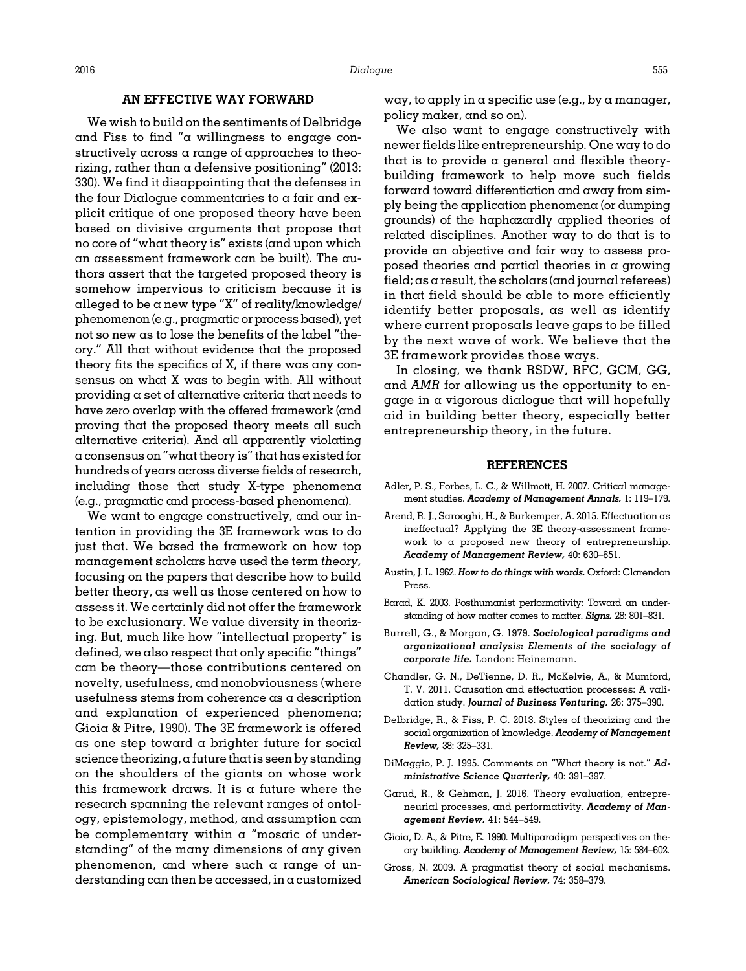## AN EFFECTIVE WAY FORWARD

We wish to build on the sentiments of Delbridge and Fiss to find "a willingness to engage constructively across a range of approaches to theorizing, rather than a defensive positioning"  $(2013:$ 330). We find it disappointing that the defenses in the four Dialogue commentaries to  $\alpha$  fair and explicit critique of one proposed theory have been based on divisive arguments that propose that no core of "what theory is" exists (and upon which an assessment framework can be built). The authors assert that the targeted proposed theory is somehow impervious to criticism because it is alleged to be a new type "X" of reality/knowledge/ phenomenon (e.g., pragmatic or process based), yet not so new as to lose the benefits of the label "theory." All that without evidence that the proposed theory fits the specifics of X, if there was any consensus on what X was to begin with. All without providing a set of alternative criteria that needs to have zero overlap with the offered framework (and proving that the proposed theory meets all such alternative criteria). And all apparently violating a consensus on "what theory is" that has existed for hundreds of years across diverse fields of research, including those that study X-type phenomena (e.g., pragmatic and process-based phenomena).

We want to engage constructively, and our intention in providing the 3E framework was to do just that. We based the framework on how top management scholars have used the term theory, focusing on the papers that describe how to build better theory, as well as those centered on how to assess it. We certainly did not offer the framework to be exclusionary. We value diversity in theorizing. But, much like how "intellectual property" is defined, we also respect that only specific "things" can be theory—those contributions centered on novelty, usefulness, and nonobviousness (where usefulness stems from coherence as a description and explanation of experienced phenomena; Gioia & Pitre, 1990). The 3E framework is offered as one step toward a brighter future for social science theorizing, a future that is seen by standing on the shoulders of the giants on whose work this framework draws. It is a future where the research spanning the relevant ranges of ontology, epistemology, method, and assumption can be complementary within a "mosaic of understanding" of the many dimensions of any given phenomenon, and where such a range of understanding can then be accessed, in a customized

way, to apply in a specific use (e.g., by a manager, policy maker, and so on).

We also want to engage constructively with newer fields like entrepreneurship. One way to do that is to provide a general and flexible theorybuilding framework to help move such fields forward toward differentiation and away from simply being the application phenomena (or dumping grounds) of the haphazardly applied theories of related disciplines. Another way to do that is to provide an objective and fair way to assess proposed theories and partial theories in a growing field; as a result, the scholars (and journal referees) in that field should be able to more efficiently identify better proposals, as well as identify where current proposals leave gaps to be filled by the next wave of work. We believe that the 3E framework provides those ways.

In closing, we thank RSDW, RFC, GCM, GG, and AMR for allowing us the opportunity to engage in a vigorous dialogue that will hopefully aid in building better theory, especially better entrepreneurship theory, in the future.

#### REFERENCES

- Adler, P. S., Forbes, L. C., & Willmott, H. 2007. Critical management studies. Academy of Management Annals, 1: 119-179.
- Arend, R. J., Sarooghi, H., & Burkemper, A. 2015. Effectuation as ineffectual? Applying the 3E theory-assessment framework to a proposed new theory of entrepreneurship. Academy of Management Review, 40: 630–651.
- Austin, J. L. 1962. How to do things with words. Oxford: Clarendon Press.
- Barad, K. 2003. Posthumanist performativity: Toward an understanding of how matter comes to matter. Signs, 28: 801–831.
- Burrell, G., & Morgan, G. 1979. Sociological paradigms and organizational analysis: Elements of the sociology of corporate life. London: Heinemann.
- Chandler, G. N., DeTienne, D. R., McKelvie, A., & Mumford, T. V. 2011. Causation and effectuation processes: A validation study. Journal of Business Venturing, 26: 375–390.
- Delbridge, R., & Fiss, P. C. 2013. Styles of theorizing and the social organization of knowledge. Academy of Management Review, 38: 325–331.
- DiMaggio, P. J. 1995. Comments on "What theory is not." Administrative Science Quarterly, 40: 391–397.
- Garud, R., & Gehman, J. 2016. Theory evaluation, entrepreneurial processes, and performativity. Academy of Management Review, 41: 544–549.
- Gioia, D. A., & Pitre, E. 1990. Multiparadigm perspectives on theory building. Academy of Management Review, 15: 584–602.
- Gross, N. 2009. A pragmatist theory of social mechanisms. American Sociological Review, 74: 358–379.